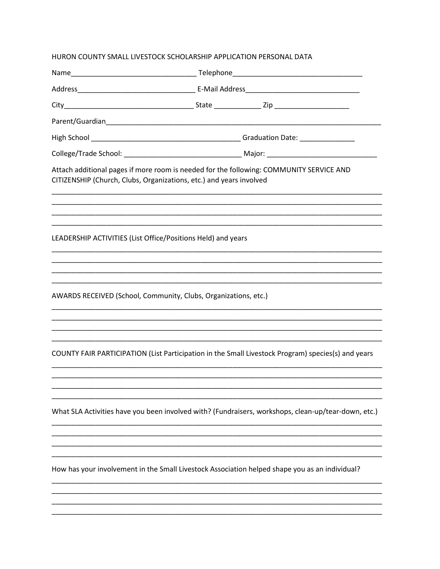| Attach additional pages if more room is needed for the following: COMMUNITY SERVICE AND<br>CITIZENSHIP (Church, Clubs, Organizations, etc.) and years involved |
|----------------------------------------------------------------------------------------------------------------------------------------------------------------|
| LEADERSHIP ACTIVITIES (List Office/Positions Held) and years                                                                                                   |
| AWARDS RECEIVED (School, Community, Clubs, Organizations, etc.)                                                                                                |
| COUNTY FAIR PARTICIPATION (List Participation in the Small Livestock Program) species(s) and years                                                             |
| What SLA Activities have you been involved with? (Fundraisers, workshops, clean-up/tear-down, etc.)                                                            |
|                                                                                                                                                                |